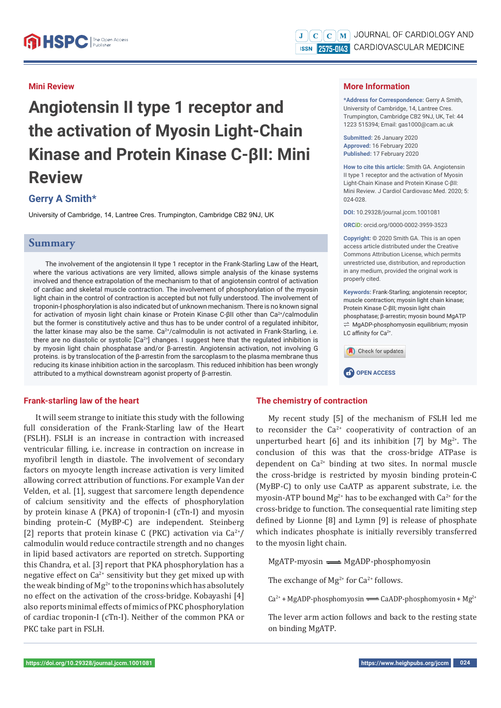#### **Mini Review**

# **Angiotensin II type 1 receptor and the activation of Myosin Light-Chain Kinase and Protein Kinase C-βII: Mini Review**

# **Gerry A Smith\***

University of Cambridge, 14, Lantree Cres. Trumpington, Cambridge CB2 9NJ, UK

## **Summary**

The involvement of the angiotensin II type 1 receptor in the Frank-Starling Law of the Heart, where the various activations are very limited, allows simple analysis of the kinase systems involved and thence extrapolation of the mechanism to that of angiotensin control of activation of cardiac and skeletal muscle contraction. The involvement of phosphorylation of the myosin light chain in the control of contraction is accepted but not fully understood. The involvement of troponin-I phosphorylation is also indicated but of unknown mechanism. There is no known signal for activation of myosin light chain kinase or Protein Kinase C-βII other than Ca<sup>2+</sup>/calmodulin but the former is constitutively active and thus has to be under control of a regulated inhibitor, the latter kinase may also be the same. Ca<sup>2+</sup>/calmodulin is not activated in Frank-Starling, i.e. there are no diastolic or systolic  $[Ca<sup>2+</sup>]$  changes. I suggest here that the regulated inhibition is by myosin light chain phosphatase and/or β-arrestin. Angiotensin activation, not involving G proteins. is by translocation of the β-arrestin from the sarcoplasm to the plasma membrane thus reducing its kinase inhibition action in the sarcoplasm. This reduced inhibition has been wrongly attributed to a mythical downstream agonist property of β-arrestin.

#### **Frank-starling law of the heart**

It will seem strange to initiate this study with the following full consideration of the Frank-Starling law of the Heart (FSLH). FSLH is an increase in contraction with increased ventricular filling, i.e. increase in contraction on increase in myofibril length in diastole. The involvement of secondary factors on myocyte length increase activation is very limited allowing correct attribution of functions. For example Van der Velden, et al. [1], suggest that sarcomere length dependence of calcium sensitivity and the effects of phosphorylation by protein kinase A (PKA) of troponin-I (cTn-I) and myosin binding protein-C (MyBP-C) are independent. Steinberg [2] reports that protein kinase C (PKC) activation via  $Ca^{2+}/$ calmodulin would reduce contractile strength and no changes in lipid based activators are reported on stretch. Supporting this Chandra, et al. [3] report that PKA phosphorylation has a negative effect on  $Ca^{2+}$  sensitivity but they get mixed up with the weak binding of  $Mg^{2+}$  to the troponins which has absolutely no effect on the activation of the cross-bridge. Kobayashi [4] also reports minimal effects of mimics of PKC phosphorylation of cardiac troponin-I (cTn-I). Neither of the common PKA or PKC take part in FSLH.

#### **More Information**

**\*Address for Correspondence:** Gerry A Smith, University of Cambridge, 14, Lantree Cres. Trumpington, Cambridge CB2 9NJ, UK, Tel: 44 1223 515394; Email: gas1000@cam.ac.uk

**Submitted:** 26 January 2020 **Approved:** 16 February 2020 **Published:** 17 February 2020

**How to cite this article:** Smith GA. Angiotensin II type 1 receptor and the activation of Myosin Light-Chain Kinase and Protein Kinase C-βII: Mini Review. J Cardiol Cardiovasc Med. 2020; 5: 024-028.

**DOI:** 10.29328/journal.jccm.1001081

**ORCiD:** orcid.org/0000-0002-3959-3523

**Copyright: ©** 2020 Smith GA. This is an open access article distributed under the Creative Commons Attribution License, which permits unrestricted use, distribution, and reproduction in any medium, provided the original work is properly cited.

**Keywords:** Frank-Starling; angiotensin receptor; muscle contraction; myosin light chain kinase; Protein Kinase C-βII; myosin light chain phosphatase; β-arrestin; myosin bound MgATP  $\rightleftarrows$  MgADP-phosphomyosin equilibrium; myosin LC affinity for  $Ca^{2+}$ .





## **The chemistry of contraction**

My recent study [5] of the mechanism of FSLH led me to reconsider the  $Ca^{2+}$  cooperativity of contraction of an unperturbed heart [6] and its inhibition [7] by  $Mg^{2+}$ . The conclusion of this was that the cross-bridge ATPase is dependent on  $Ca^{2+}$  binding at two sites. In normal muscle the cross-bridge is restricted by myosin binding protein-C (MyBP-C) to only use CaATP as apparent substrate, i.e. the myosin-ATP bound  $Mg^{2+}$  has to be exchanged with Ca<sup>2+</sup> for the cross-bridge to function. The consequential rate limiting step defined by Lionne [8] and Lymn [9] is release of phosphate which indicates phosphate is initially reversibly transferred to the myosin light chain.

 $MgATP$ -myosin  $\longrightarrow$  MgADP-phosphomyosin

The exchange of  $Mg^{2+}$  for Ca<sup>2+</sup> follows.

 $Ca^{2+} + MgADP$ -phosphomyosin  $\rightleftharpoons$  CaADP-phosphomyosin + Mg<sup>2+</sup>

The lever arm action follows and back to the resting state on binding MgATP.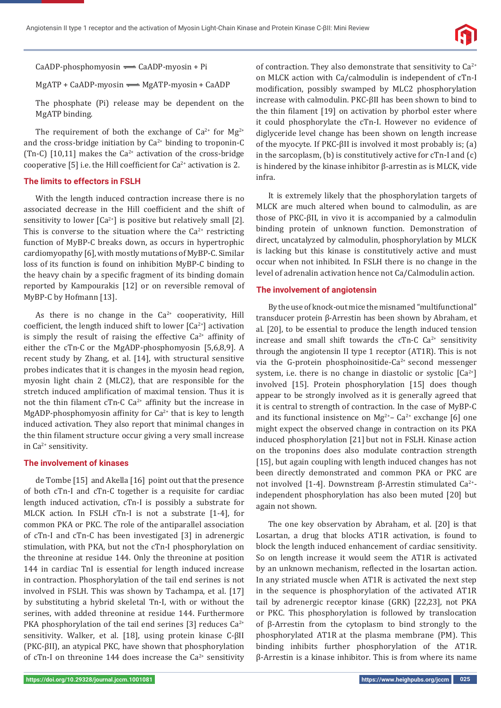

 $CaADP-phosphomyosin \implies CaADP-myosin + Pi$ 

 $MgATP + CaADP$ -myosin  $\implies MgATP$ -myosin + CaADP

The phosphate (Pi) release may be dependent on the MgATP binding.

The requirement of both the exchange of  $Ca^{2+}$  for  $Mg^{2+}$ and the cross-bridge initiation by  $Ca^{2+}$  binding to troponin-C (Tn-C) [10,11] makes the  $Ca^{2+}$  activation of the cross-bridge cooperative [5] i.e. the Hill coefficient for  $Ca^{2+}$  activation is 2.

#### **The limits to effectors in FSLH**

With the length induced contraction increase there is no associated decrease in the Hill coefficient and the shift of sensitivity to lower  $[Ca^{2+}]$  is positive but relatively small  $[2]$ . This is converse to the situation where the  $Ca<sup>2+</sup>$  restricting function of MyBP-C breaks down, as occurs in hypertrophic cardiomyopathy [6], with mostly mutations of MyBP-C. Similar loss of its function is found on inhibition MyBP-C binding to the heavy chain by a specific fragment of its binding domain reported by Kampourakis [12] or on reversible removal of MyBP-C by Hofmann [13].

As there is no change in the  $Ca^{2+}$  cooperativity, Hill coefficient, the length induced shift to lower  $[Ca^{2+}]$  activation is simply the result of raising the effective  $Ca^{2+}$  affinity of either the cTn-C or the MgADP-phosphomyosin [5,6,8,9]. A recent study by Zhang, et al. [14], with structural sensitive probes indicates that it is changes in the myosin head region, myosin light chain 2 (MLC2), that are responsible for the stretch induced amplification of maximal tension. Thus it is not the thin filament cTn-C  $Ca^{2+}$  affinity but the increase in MgADP-phosphomyosin affinity for  $Ca^{2+}$  that is key to length induced activation. They also report that minimal changes in the thin filament structure occur giving a very small increase in  $Ca^{2+}$  sensitivity.

#### **The involvement of kinases**

de Tombe [15] and Akella [16] point out that the presence of both cTn-I and cTn-C together is a requisite for cardiac length induced activation, cTn-I is possibly a substrate for MLCK action. In FSLH cTn-I is not a substrate [1-4], for common PKA or PKC. The role of the antiparallel association of cTn-I and cTn-C has been investigated [3] in adrenergic stimulation, with PKA, but not the cTn-I phosphorylation on the threonine at residue 144. Only the threonine at position 144 in cardiac TnI is essential for length induced increase in contraction. Phosphorylation of the tail end serines is not involved in FSLH. This was shown by Tachampa, et al. [17] by substituting a hybrid skeletal Tn-I, with or without the serines, with added threonine at residue 144. Furthermore PKA phosphorylation of the tail end serines [3] reduces  $Ca^{2+}$ sensitivity. Walker, et al. [18], using protein kinase C-βII (PKC-βII), an atypical PKC, have shown that phosphorylation of cTn-I on threonine 144 does increase the  $Ca^{2+}$  sensitivity of contraction. They also demonstrate that sensitivity to  $Ca^{2+}$ on MLCK action with Ca/calmodulin is independent of cTn-I modification, possibly swamped by MLC2 phosphorylation increase with calmodulin. PKC-βII has been shown to bind to the thin filament [19] on activation by phorbol ester where it could phosphorylate the cTn-I. However no evidence of diglyceride level change has been shown on length increase of the myocyte. If PKC-βII is involved it most probably is; (a) in the sarcoplasm, (b) is constitutively active for cTn-I and (c) is hindered by the kinase inhibitor β-arrestin as is MLCK, vide infra.

It is extremely likely that the phosphorylation targets of MLCK are much altered when bound to calmodulin, as are those of PKC-βII, in vivo it is accompanied by a calmodulin binding protein of unknown function. Demonstration of direct, uncatalyzed by calmodulin, phosphorylation by MLCK is lacking but this kinase is constitutively active and must occur when not inhibited. In FSLH there is no change in the level of adrenalin activation hence not Ca/Calmodulin action.

#### **The involvement of angiotensin**

By the use of knock-out mice the misnamed "multifunctional" transducer protein β-Arrestin has been shown by Abraham, et al. [20], to be essential to produce the length induced tension increase and small shift towards the cTn-C  $Ca^{2+}$  sensitivity through the angiotensin II type 1 receptor (AT1R). This is not via the G-protein phosphoinositide-Ca<sup>2+</sup> second messenger system, i.e. there is no change in diastolic or systolic  $[Ca^{2+}]$ involved [15]. Protein phosphorylation [15] does though appear to be strongly involved as it is generally agreed that it is central to strength of contraction. In the case of MyBP-C and its functional insistence on  $Mg^{2+}$ – Ca<sup>2+</sup> exchange [6] one might expect the observed change in contraction on its PKA induced phosphorylation [21] but not in FSLH. Kinase action on the troponins does also modulate contraction strength [15], but again coupling with length induced changes has not been directly demonstrated and common PKA or PKC are not involved [1-4]. Downstream β-Arrestin stimulated Ca<sup>2+</sup>independent phosphorylation has also been muted [20] but again not shown.

The one key observation by Abraham, et al. [20] is that Losartan, a drug that blocks AT1R activation, is found to block the length induced enhancement of cardiac sensitivity. So on length increase it would seem the AT1R is activated by an unknown mechanism, reflected in the losartan action. In any striated muscle when AT1R is activated the next step in the sequence is phosphorylation of the activated AT1R tail by adrenergic receptor kinase (GRK) [22,23], not PKA or PKC. This phosphorylation is followed by translocation of β-Arrestin from the cytoplasm to bind strongly to the phosphorylated AT1R at the plasma membrane (PM). This binding inhibits further phosphorylation of the AT1R. β-Arrestin is a kinase inhibitor. This is from where its name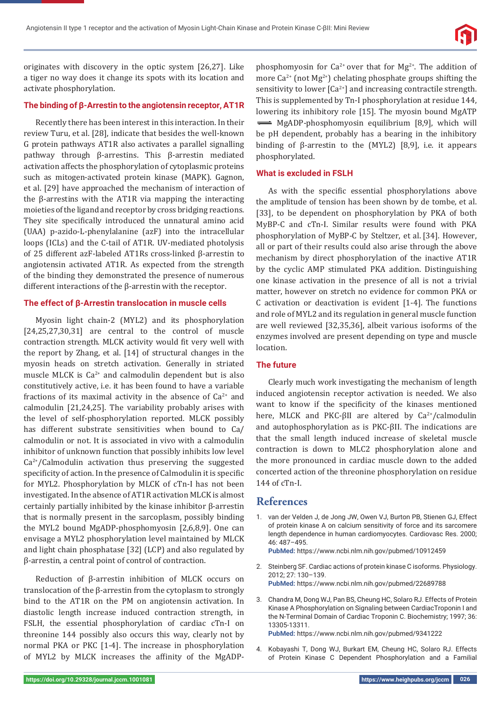originates with discovery in the optic system [26,27]. Like a tiger no way does it change its spots with its location and activate phosphorylation.

## **The binding of β-Arrestin to the angiotensin receptor, AT1R**

Recently there has been interest in this interaction. In their review Turu, et al. [28], indicate that besides the well-known G protein pathways AT1R also activates a parallel signalling pathway through β-arrestins. This β-arrestin mediated activation affects the phosphorylation of cytoplasmic proteins such as mitogen-activated protein kinase (MAPK). Gagnon, et al. [29] have approached the mechanism of interaction of the β-arrestins with the AT1R via mapping the interacting moieties of the ligand and receptor by cross bridging reactions. They site specifically introduced the unnatural amino acid (UAA) p-azido-L-phenylalanine (azF) into the intracellular loops (ICLs) and the C-tail of AT1R. UV-mediated photolysis of 25 different azF-labeled AT1Rs cross-linked β-arrestin to angiotensin activated AT1R. As expected from the strength of the binding they demonstrated the presence of numerous different interactions of the β-arrestin with the receptor.

#### **The effect of β-Arrestin translocation in muscle cells**

Myosin light chain-2 (MYL2) and its phosphorylation [24,25,27,30,31] are central to the control of muscle contraction strength. MLCK activity would fit very well with the report by Zhang, et al. [14] of structural changes in the myosin heads on stretch activation. Generally in striated muscle MLCK is  $Ca^{2+}$  and calmodulin dependent but is also constitutively active, i.e. it has been found to have a variable fractions of its maximal activity in the absence of  $Ca<sup>2+</sup>$  and calmodulin [21,24,25]. The variability probably arises with the level of self-phosphorylation reported. MLCK possibly has different substrate sensitivities when bound to Ca/ calmodulin or not. It is associated in vivo with a calmodulin inhibitor of unknown function that possibly inhibits low level  $Ca<sup>2+</sup>/Calmodulin$  activation thus preserving the suggested specificity of action. In the presence of Calmodulin it is specific for MYL2. Phosphorylation by MLCK of cTn-I has not been investigated. In the absence of AT1R activation MLCK is almost certainly partially inhibited by the kinase inhibitor β-arrestin that is normally present in the sarcoplasm, possibly binding the MYL2 bound MgADP-phosphomyosin [2,6,8,9]. One can envisage a MYL2 phosphorylation level maintained by MLCK and light chain phosphatase [32] (LCP) and also regulated by β-arrestin, a central point of control of contraction.

Reduction of β-arrestin inhibition of MLCK occurs on translocation of the β-arrestin from the cytoplasm to strongly bind to the AT1R on the PM on angiotensin activation. In diastolic length increase induced contraction strength, in FSLH, the essential phosphorylation of cardiac cTn-I on threonine 144 possibly also occurs this way, clearly not by normal PKA or PKC [1-4]. The increase in phosphorylation of MYL2 by MLCK increases the affinity of the MgADP-

phosphomyosin for  $Ca^{2+}$  over that for  $Mg^{2+}$ . The addition of more  $Ca^{2+}$  (not  $Mg^{2+}$ ) chelating phosphate groups shifting the sensitivity to lower  $[Ca^{2+}]$  and increasing contractile strength. This is supplemented by Tn-I phosphorylation at residue 144, lowering its inhibitory role [15]. The myosin bound MgATP  $\implies$  MgADP-phosphomyosin equilibrium [8,9], which will be pH dependent, probably has a bearing in the inhibitory binding of β-arrestin to the (MYL2) [8,9], i.e. it appears phosphorylated.

#### **What is excluded in FSLH**

As with the specific essential phosphorylations above the amplitude of tension has been shown by de tombe, et al. [33], to be dependent on phosphorylation by PKA of both MyBP-C and cTn-I. Similar results were found with PKA phosphorylation of MyBP-C by Steltzer, et al. [34]. However, all or part of their results could also arise through the above mechanism by direct phosphorylation of the inactive AT1R by the cyclic AMP stimulated PKA addition. Distinguishing one kinase activation in the presence of all is not a trivial matter, however on stretch no evidence for common PKA or C activation or deactivation is evident [1-4]. The functions and role of MYL2 and its regulation in general muscle function are well reviewed [32,35,36], albeit various isoforms of the enzymes involved are present depending on type and muscle location.

#### **The future**

Clearly much work investigating the mechanism of length induced angiotensin receptor activation is needed. We also want to know if the specificity of the kinases mentioned here, MLCK and PKC-βII are altered by Ca<sup>2+</sup>/calmodulin and autophosphorylation as is PKC-βII. The indications are that the small length induced increase of skeletal muscle contraction is down to MLC2 phosphorylation alone and the more pronounced in cardiac muscle down to the added concerted action of the threonine phosphorylation on residue 144 of cTn-I.

## **References**

1. van der Velden J, de Jong JW, Owen VJ, Burton PB, Stienen GJ, Effect of protein kinase A on calcium sensitivity of force and its sarcomere length dependence in human cardiomyocytes. Cardiovasc Res. 2000; 46: 487–495.

**PubMed:** https://www.ncbi.nlm.nih.gov/pubmed/10912459

- 2. Steinberg SF. Cardiac actions of protein kinase C isoforms. Physiology. 2012; 27: 130–139. **PubMed:** https://www.ncbi.nlm.nih.gov/pubmed/22689788
- 3. Chandra M, Dong WJ, Pan BS, Cheung HC, Solaro RJ. Effects of Protein Kinase A Phosphorylation on Signaling between CardiacTroponin I and the N-Terminal Domain of Cardiac Troponin C. Biochemistry; 1997; 36: 13305-13311.

**PubMed:** https://www.ncbi.nlm.nih.gov/pubmed/9341222

4. Kobayashi T, Dong WJ, Burkart EM, Cheung HC, Solaro RJ. Effects of Protein Kinase C Dependent Phosphorylation and a Familial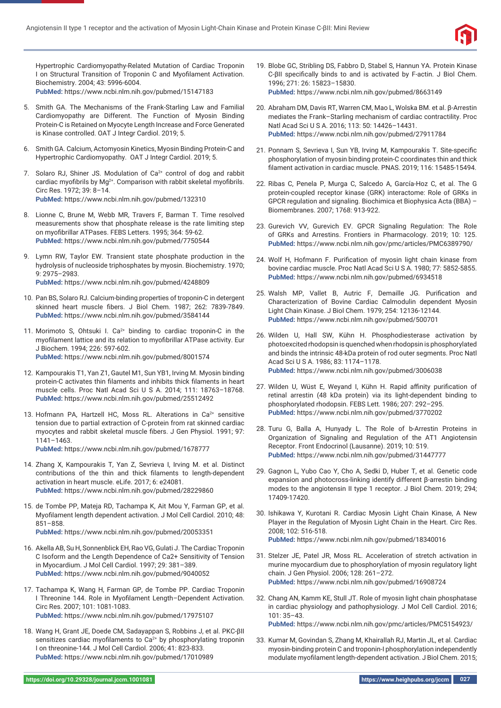

Hypertrophic Cardiomyopathy-Related Mutation of Cardiac Troponin I on Structural Transition of Troponin C and Myofilament Activation. Biochemistry. 2004; 43: 5996-6004. **PubMed:** https://www.ncbi.nlm.nih.gov/pubmed/15147183

- 5. Smith GA. The Mechanisms of the Frank-Starling Law and Familial
- Cardiomyopathy are Different. The Function of Myosin Binding Protein-C is Retained on Myocyte Length Increase and Force Generated is Kinase controlled. OAT J Integr Cardiol. 2019; 5.
- 6. Smith GA. Calcium, Actomyosin Kinetics, Myosin Binding Protein-C and Hypertrophic Cardiomyopathy. OAT J Integr Cardiol. 2019; 5.

7. Solaro RJ, Shiner JS. Modulation of  $Ca<sup>2+</sup>$  control of dog and rabbit cardiac myofibrils by  $Ma^{2+}$ . Comparison with rabbit skeletal myofibrils. Circ Res. 1972; 39: 8–14. **PubMed:** https://www.ncbi.nlm.nih.gov/pubmed/132310

- 8. Lionne C, Brune M, Webb MR, Travers F, Barman T. Time resolved measurements show that phosphate release is the rate limiting step on myofibrillar ATPases. FEBS Letters. 1995; 364: 59-62. **PubMed:** https://www.ncbi.nlm.nih.gov/pubmed/7750544
- 9. Lymn RW, Taylor EW. Transient state phosphate production in the hydrolysis of nucleoside triphosphates by myosin. Biochemistry. 1970; 9: 2975–2983. **PubMed:** https://www.ncbi.nlm.nih.gov/pubmed/4248809
- 10. Pan BS, Solaro RJ. Calcium-binding properties of troponin-C in detergent skinned heart muscle fibers. J Biol Chem. 1987; 262: 7839-7849. **PubMed:** https://www.ncbi.nlm.nih.gov/pubmed/3584144
- 11. Morimoto S, Ohtsuki I. Ca<sup>2+</sup> binding to cardiac troponin-C in the myofilament lattice and its relation to myofibrillar ATPase activity. Eur J Biochem. 1994; 226: 597-602. **PubMed:** https://www.ncbi.nlm.nih.gov/pubmed/8001574
- 12. Kampourakis T1, Yan Z1, Gautel M1, Sun YB1, Irving M. Myosin binding protein-C activates thin filaments and inhibits thick filaments in heart muscle cells. Proc Natl Acad Sci U S A. 2014; 111: 18763–18768. **PubMed:** https://www.ncbi.nlm.nih.gov/pubmed/25512492
- 13. Hofmann PA, Hartzell HC, Moss RL. Alterations in  $Ca<sup>2+</sup>$  sensitive tension due to partial extraction of C-protein from rat skinned cardiac myocytes and rabbit skeletal muscle fibers. J Gen Physiol. 1991; 97: 1141–1463. **PubMed:** https://www.ncbi.nlm.nih.gov/pubmed/1678777
- 14. Zhang X, Kampourakis T, Yan Z, Sevrieva I, Irving M. et al. Distinct contributions of the thin and thick filaments to length-dependent activation in heart muscle. eLife. 2017; 6: e24081. **PubMed:** https://www.ncbi.nlm.nih.gov/pubmed/28229860
- 15. de Tombe PP, Mateja RD, Tachampa K, Ait Mou Y, Farman GP, et al. Myofilament length dependent activation. J Mol Cell Cardiol. 2010; 48: 851–858.
	- **PubMed:** https://www.ncbi.nlm.nih.gov/pubmed/20053351
- 16. Akella AB, Su H, Sonnenblick EH, Rao VG, Gulati J. The Cardiac Troponin C Isoform and the Length Dependence of Ca2+ Sensitivity of Tension in Myocardium. J Mol Cell Cardiol. 1997; 29: 381–389. **PubMed:** https://www.ncbi.nlm.nih.gov/pubmed/9040052
- 17. Tachampa K, Wang H, Farman GP, de Tombe PP. Cardiac Troponin I Threonine 144. Role in Myofilament Length-Dependent Activation. Circ Res. 2007; 101: 1081-1083. **PubMed:** https://www.ncbi.nlm.nih.gov/pubmed/17975107
- 18. Wang H, Grant JE, Doede CM, Sadayappan S, Robbins J, et al. PKC-βII sensitizes cardiac myofilaments to  $Ca<sup>2+</sup>$  by phosphorylating troponin I on threonine-144. J Mol Cell Cardiol. 2006; 41: 823-833. **PubMed:** https://www.ncbi.nlm.nih.gov/pubmed/17010989
- 19. Blobe GC, Stribling DS, Fabbro D, Stabel S, Hannun YA. Protein Kinase C-βII specifically binds to and is activated by F-actin. J Biol Chem. 1996; 271: 26: 15823–15830. **PubMed:** https://www.ncbi.nlm.nih.gov/pubmed/8663149
- 20. Abraham DM, Davis RT, Warren CM, Mao L, Wolska BM. et al. β-Arrestin mediates the Frank–Starling mechanism of cardiac contractility. Proc Natl Acad Sci U S A. 2016; 113: 50: 14426–14431. **PubMed:** https://www.ncbi.nlm.nih.gov/pubmed/27911784
- 21. Ponnam S, Sevrieva I, Sun YB, Irving M, Kampourakis T. Site-specific phosphorylation of myosin binding protein-C coordinates thin and thick filament activation in cardiac muscle. PNAS. 2019; 116: 15485-15494.
- 22. Ribas C, Penela P, Murga C, Salcedo A, García-Hoz C, et al. The G protein-coupled receptor kinase (GRK) interactome: Role of GRKs in GPCR regulation and signaling. Biochimica et Biophysica Acta (BBA) – Biomembranes. 2007; 1768: 913-922.
- 23. Gurevich VV, Gurevich EV. GPCR Signaling Regulation: The Role of GRKs and Arrestins. Frontiers in Pharmacology. 2019; 10: 125. **PubMed:** https://www.ncbi.nlm.nih.gov/pmc/articles/PMC6389790/
- 24. Wolf H, Hofmann F. Purification of myosin light chain kinase from bovine cardiac muscle. Proc Natl Acad Sci U S A. 1980; 77: 5852-5855. **PubMed:** https://www.ncbi.nlm.nih.gov/pubmed/6934518
- 25. Walsh MP, Vallet B, Autric F, Demaille JG. Purification and Characterization of Bovine Cardiac Calmodulin dependent Myosin Light Chain Kinase. J Biol Chem. 1979; 254: 12136-12144. **PubMed:** https://www.ncbi.nlm.nih.gov/pubmed/500701
- 26. Wilden U, Hall SW, Kühn H. Phosphodiesterase activation by photoexcited rhodopsin is quenched when rhodopsin is phosphorylated and binds the intrinsic 48-kDa protein of rod outer segments. Proc Natl Acad Sci U S A. 1986; 83: 1174–1178. **PubMed:** https://www.ncbi.nlm.nih.gov/pubmed/3006038
- 27. Wilden U, Wüst E, Weyand I, Kühn H. Rapid affinity purification of retinal arrestin (48 kDa protein) via its light-dependent binding to phosphorylated rhodopsin. FEBS Lett. 1986; 207: 292–295. **PubMed:** https://www.ncbi.nlm.nih.gov/pubmed/3770202
- 28. Turu G, Balla A, Hunyady L. The Role of b-Arrestin Proteins in Organization of Signaling and Regulation of the AT1 Angiotensin Receptor. Front Endocrinol (Lausanne). 2019; 10: 519. **PubMed:** https://www.ncbi.nlm.nih.gov/pubmed/31447777
- 29. Gagnon L, Yubo Cao Y, Cho A, Sedki D, Huber T, et al. Genetic code expansion and photocross-linking identify different β-arrestin binding modes to the angiotensin II type 1 receptor. J Biol Chem. 2019; 294; 17409-17420.
- 30. Ishikawa Y, Kurotani R. Cardiac Myosin Light Chain Kinase, A New Player in the Regulation of Myosin Light Chain in the Heart. Circ Res. 2008; 102: 516-518. **PubMed:** https://www.ncbi.nlm.nih.gov/pubmed/18340016
- 31. Stelzer JE, Patel JR, Moss RL. Acceleration of stretch activation in murine myocardium due to phosphorylation of myosin regulatory light chain. J Gen Physiol. 2006; 128: 261–272. **PubMed:** https://www.ncbi.nlm.nih.gov/pubmed/16908724
- 32. Chang AN, Kamm KE, Stull JT. Role of myosin light chain phosphatase in cardiac physiology and pathophysiology. J Mol Cell Cardiol. 2016; 101: 35–43.

**PubMed:** https://www.ncbi.nlm.nih.gov/pmc/articles/PMC5154923/

33. Kumar M, Govindan S, Zhang M, Khairallah RJ, Martin JL, et al. Cardiac myosin-binding protein C and troponin-I phosphorylation independently modulate myofilament length-dependent activation. J Biol Chem. 2015;